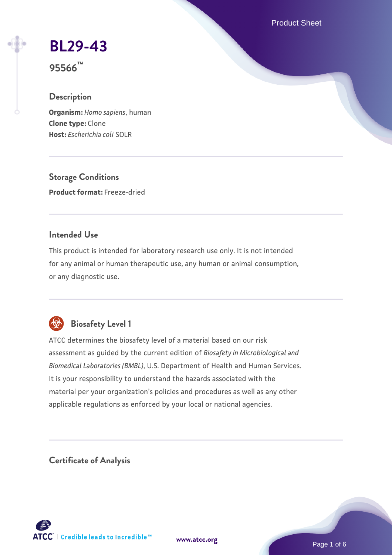Product Sheet

## **[BL29-43](https://www.atcc.org/products/95566)**

**95566™**

#### **Description**

**Organism:** *Homo sapiens*, human **Clone type:** Clone **Host:** *Escherichia coli* SOLR

**Storage Conditions Product format:** Freeze-dried

#### **Intended Use**

This product is intended for laboratory research use only. It is not intended for any animal or human therapeutic use, any human or animal consumption, or any diagnostic use.



#### **Biosafety Level 1**

ATCC determines the biosafety level of a material based on our risk assessment as guided by the current edition of *Biosafety in Microbiological and Biomedical Laboratories (BMBL)*, U.S. Department of Health and Human Services. It is your responsibility to understand the hazards associated with the material per your organization's policies and procedures as well as any other applicable regulations as enforced by your local or national agencies.

**Certificate of Analysis**

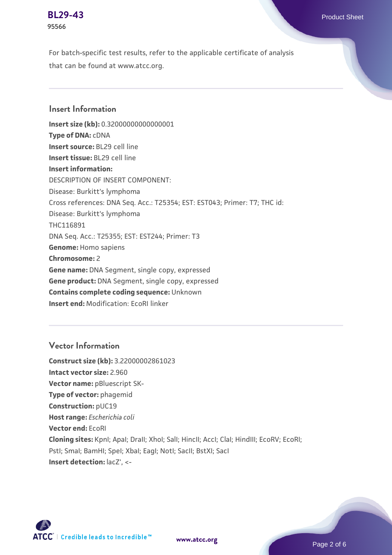# **95566**

For batch-specific test results, refer to the applicable certificate of analysis that can be found at www.atcc.org.

#### **Insert Information**

**Insert size (kb):** 0.32000000000000001 **Type of DNA:** cDNA **Insert source:** BL29 cell line **Insert tissue:** BL29 cell line **Insert information:** DESCRIPTION OF INSERT COMPONENT: Disease: Burkitt's lymphoma Cross references: DNA Seq. Acc.: T25354; EST: EST043; Primer: T7; THC id: Disease: Burkitt's lymphoma THC116891 DNA Seq. Acc.: T25355; EST: EST244; Primer: T3 **Genome:** Homo sapiens **Chromosome:** 2 **Gene name:** DNA Segment, single copy, expressed **Gene product:** DNA Segment, single copy, expressed **Contains complete coding sequence:** Unknown **Insert end:** Modification: EcoRI linker

#### **Vector Information**

**Construct size (kb):** 3.22000002861023 **Intact vector size:** 2.960 **Vector name:** pBluescript SK-**Type of vector:** phagemid **Construction:** pUC19 **Host range:** *Escherichia coli* **Vector end:** EcoRI **Cloning sites:** KpnI; ApaI; DraII; XhoI; SalI; HincII; AccI; ClaI; HindIII; EcoRV; EcoRI; Pstl; Smal; BamHI; Spel; Xbal; EagI; NotI; SacII; BstXI; SacI **Insert detection:** lacZ', <-

**[www.atcc.org](http://www.atcc.org)**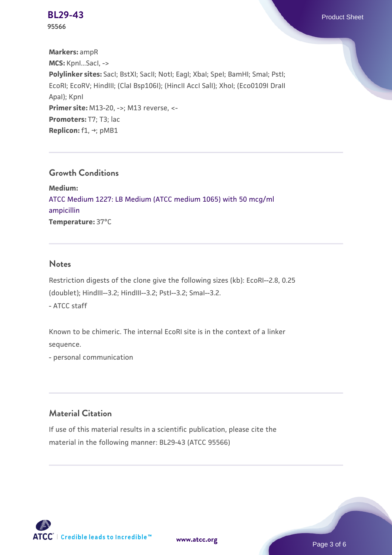**[BL29-43](https://www.atcc.org/products/95566)** Product Sheet

**95566**

**Markers:** ampR **MCS:** KpnI...SacI, -> **Polylinker sites:** SacI; BstXI; SacII; NotI; EagI; XbaI; SpeI; BamHI; SmaI; PstI; EcoRI; EcoRV; HindIII; (ClaI Bsp106I); (HincII AccI SalI); XhoI; (Eco0109I DraII ApaI); KpnI **Primer site:** M13-20, ->; M13 reverse, <-**Promoters:** T7; T3; lac **Replicon:** f1, →; pMB1

#### **Growth Conditions**

**Medium:**  [ATCC Medium 1227: LB Medium \(ATCC medium 1065\) with 50 mcg/ml](https://www.atcc.org/-/media/product-assets/documents/microbial-media-formulations/1/2/2/7/atcc-medium-1227.pdf?rev=581c98603b3e4b29a6d62ee0ba9ca578) [ampicillin](https://www.atcc.org/-/media/product-assets/documents/microbial-media-formulations/1/2/2/7/atcc-medium-1227.pdf?rev=581c98603b3e4b29a6d62ee0ba9ca578) **Temperature:** 37°C

#### **Notes**

Restriction digests of the clone give the following sizes (kb): EcoRI--2.8, 0.25 (doublet); HindIII--3.2; HindIII--3.2; PstI--3.2; SmaI--3.2. - ATCC staff

Known to be chimeric. The internal EcoRI site is in the context of a linker sequence.

- personal communication

#### **Material Citation**

If use of this material results in a scientific publication, please cite the material in the following manner: BL29-43 (ATCC 95566)



**[www.atcc.org](http://www.atcc.org)**

Page 3 of 6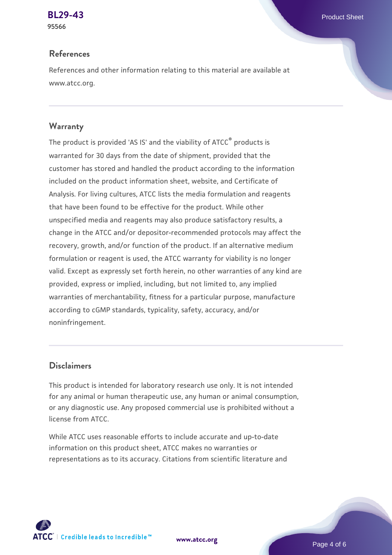**95566**

#### **References**

References and other information relating to this material are available at www.atcc.org.

#### **Warranty**

The product is provided 'AS IS' and the viability of ATCC® products is warranted for 30 days from the date of shipment, provided that the customer has stored and handled the product according to the information included on the product information sheet, website, and Certificate of Analysis. For living cultures, ATCC lists the media formulation and reagents that have been found to be effective for the product. While other unspecified media and reagents may also produce satisfactory results, a change in the ATCC and/or depositor-recommended protocols may affect the recovery, growth, and/or function of the product. If an alternative medium formulation or reagent is used, the ATCC warranty for viability is no longer valid. Except as expressly set forth herein, no other warranties of any kind are provided, express or implied, including, but not limited to, any implied warranties of merchantability, fitness for a particular purpose, manufacture according to cGMP standards, typicality, safety, accuracy, and/or noninfringement.

#### **Disclaimers**

This product is intended for laboratory research use only. It is not intended for any animal or human therapeutic use, any human or animal consumption, or any diagnostic use. Any proposed commercial use is prohibited without a license from ATCC.

While ATCC uses reasonable efforts to include accurate and up-to-date information on this product sheet, ATCC makes no warranties or representations as to its accuracy. Citations from scientific literature and

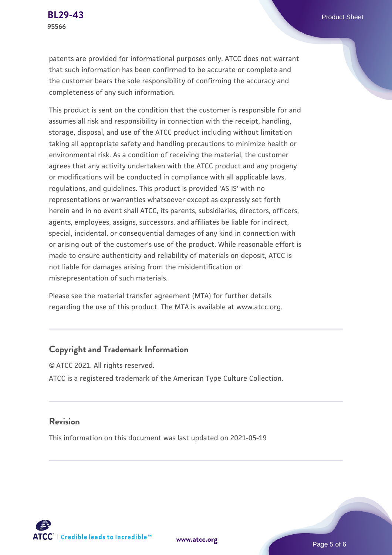patents are provided for informational purposes only. ATCC does not warrant that such information has been confirmed to be accurate or complete and the customer bears the sole responsibility of confirming the accuracy and

This product is sent on the condition that the customer is responsible for and assumes all risk and responsibility in connection with the receipt, handling, storage, disposal, and use of the ATCC product including without limitation taking all appropriate safety and handling precautions to minimize health or environmental risk. As a condition of receiving the material, the customer agrees that any activity undertaken with the ATCC product and any progeny or modifications will be conducted in compliance with all applicable laws, regulations, and guidelines. This product is provided 'AS IS' with no representations or warranties whatsoever except as expressly set forth herein and in no event shall ATCC, its parents, subsidiaries, directors, officers, agents, employees, assigns, successors, and affiliates be liable for indirect, special, incidental, or consequential damages of any kind in connection with or arising out of the customer's use of the product. While reasonable effort is made to ensure authenticity and reliability of materials on deposit, ATCC is not liable for damages arising from the misidentification or misrepresentation of such materials.

Please see the material transfer agreement (MTA) for further details regarding the use of this product. The MTA is available at www.atcc.org.

#### **Copyright and Trademark Information**

completeness of any such information.

© ATCC 2021. All rights reserved. ATCC is a registered trademark of the American Type Culture Collection.

#### **Revision**

This information on this document was last updated on 2021-05-19